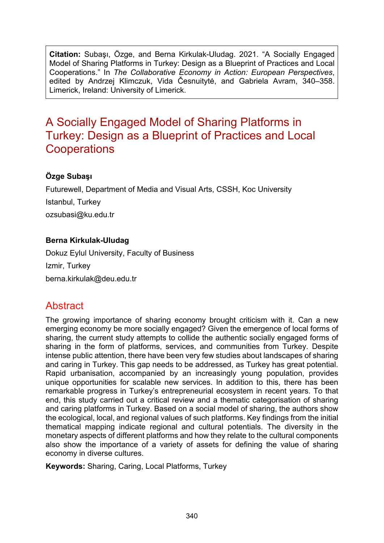**Citation:** Subaşı, Özge, and Berna Kirkulak-Uludag. 2021. "A Socially Engaged Model of Sharing Platforms in Turkey: Design as a Blueprint of Practices and Local Cooperations." In *The Collaborative Economy in Action: European Perspectives*, edited by Andrzej Klimczuk, Vida Česnuitytė, and Gabriela Avram, 340–358. Limerick, Ireland: University of Limerick.

# A Socially Engaged Model of Sharing Platforms in Turkey: Design as a Blueprint of Practices and Local **Cooperations**

### **Özge Subaşı**

Futurewell, Department of Media and Visual Arts, CSSH, Koc University Istanbul, Turkey ozsubasi@ku.edu.tr

#### **Berna Kirkulak-Uludag**

Dokuz Eylul University, Faculty of Business Izmir, Turkey berna.kirkulak@deu.edu.tr

## Abstract

The growing importance of sharing economy brought criticism with it. Can a new emerging economy be more socially engaged? Given the emergence of local forms of sharing, the current study attempts to collide the authentic socially engaged forms of sharing in the form of platforms, services, and communities from Turkey. Despite intense public attention, there have been very few studies about landscapes of sharing and caring in Turkey. This gap needs to be addressed, as Turkey has great potential. Rapid urbanisation, accompanied by an increasingly young population, provides unique opportunities for scalable new services. In addition to this, there has been remarkable progress in Turkey's entrepreneurial ecosystem in recent years. To that end, this study carried out a critical review and a thematic categorisation of sharing and caring platforms in Turkey. Based on a social model of sharing, the authors show the ecological, local, and regional values of such platforms. Key findings from the initial thematical mapping indicate regional and cultural potentials. The diversity in the monetary aspects of different platforms and how they relate to the cultural components also show the importance of a variety of assets for defining the value of sharing economy in diverse cultures.

**Keywords:** Sharing, Caring, Local Platforms, Turkey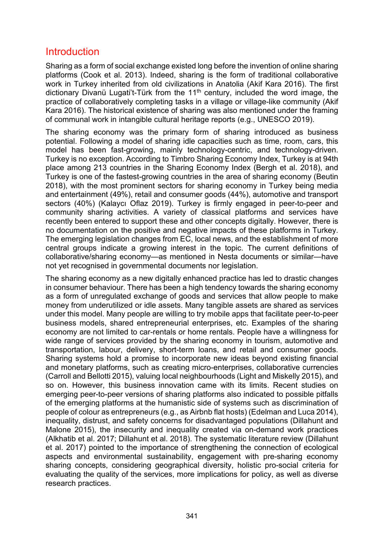### Introduction

Sharing as a form of social exchange existed long before the invention of online sharing platforms (Cook et al. 2013). Indeed, sharing is the form of traditional collaborative work in Turkey inherited from old civilizations in Anatolia (Akif Kara 2016). The first dictionary Divanü Lugati't-Türk from the  $11<sup>th</sup>$  century, included the word image, the practice of collaboratively completing tasks in a village or village-like community (Akif Kara 2016). The historical existence of sharing was also mentioned under the framing of communal work in intangible cultural heritage reports (e.g., UNESCO 2019).

The sharing economy was the primary form of sharing introduced as business potential. Following a model of sharing idle capacities such as time, room, cars, this model has been fast-growing, mainly technology-centric, and technology-driven. Turkey is no exception. According to Timbro Sharing Economy Index, Turkey is at 94th place among 213 countries in the Sharing Economy Index (Bergh et al. 2018), and Turkey is one of the fastest-growing countries in the area of sharing economy (Beutin 2018), with the most prominent sectors for sharing economy in Turkey being media and entertainment (49%), retail and consumer goods (44%), automotive and transport sectors (40%) (Kalaycı Oflaz 2019). Turkey is firmly engaged in peer-to-peer and community sharing activities. A variety of classical platforms and services have recently been entered to support these and other concepts digitally. However, there is no documentation on the positive and negative impacts of these platforms in Turkey. The emerging legislation changes from EC, local news, and the establishment of more central groups indicate a growing interest in the topic. The current definitions of collaborative/sharing economy—as mentioned in Nesta documents or similar—have not yet recognised in governmental documents nor legislation.

The sharing economy as a new digitally enhanced practice has led to drastic changes in consumer behaviour. There has been a high tendency towards the sharing economy as a form of unregulated exchange of goods and services that allow people to make money from underutilized or idle assets. Many tangible assets are shared as services under this model. Many people are willing to try mobile apps that facilitate peer-to-peer business models, shared entrepreneurial enterprises, etc. Examples of the sharing economy are not limited to car-rentals or home rentals. People have a willingness for wide range of services provided by the sharing economy in tourism, automotive and transportation, labour, delivery, short-term loans, and retail and consumer goods. Sharing systems hold a promise to incorporate new ideas beyond existing financial and monetary platforms, such as creating micro-enterprises, collaborative currencies (Carroll and Bellotti 2015), valuing local neighbourhoods (Light and Miskelly 2015), and so on. However, this business innovation came with its limits. Recent studies on emerging peer-to-peer versions of sharing platforms also indicated to possible pitfalls of the emerging platforms at the humanistic side of systems such as discrimination of people of colour as entrepreneurs (e.g., as Airbnb flat hosts) (Edelman and Luca 2014), inequality, distrust, and safety concerns for disadvantaged populations (Dillahunt and Malone 2015), the insecurity and inequality created via on-demand work practices (Alkhatib et al. 2017; Dillahunt et al. 2018). The systematic literature review (Dillahunt et al. 2017) pointed to the importance of strengthening the connection of ecological aspects and environmental sustainability, engagement with pre-sharing economy sharing concepts, considering geographical diversity, holistic pro-social criteria for evaluating the quality of the services, more implications for policy, as well as diverse research practices.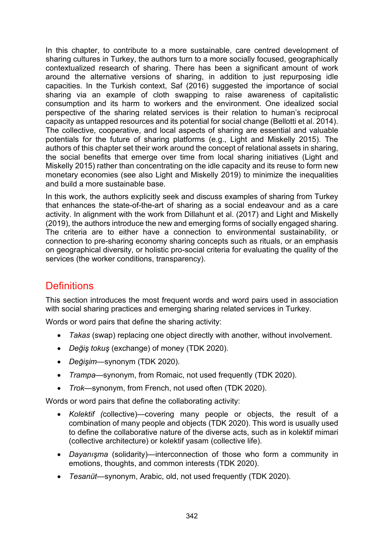In this chapter, to contribute to a more sustainable, care centred development of sharing cultures in Turkey, the authors turn to a more socially focused, geographically contextualized research of sharing. There has been a significant amount of work around the alternative versions of sharing, in addition to just repurposing idle capacities. In the Turkish context, Saf (2016) suggested the importance of social sharing via an example of cloth swapping to raise awareness of capitalistic consumption and its harm to workers and the environment. One idealized social perspective of the sharing related services is their relation to human's reciprocal capacity as untapped resources and its potential for social change (Bellotti et al. 2014). The collective, cooperative, and local aspects of sharing are essential and valuable potentials for the future of sharing platforms (e.g., Light and Miskelly 2015). The authors of this chapter set their work around the concept of relational assets in sharing, the social benefits that emerge over time from local sharing initiatives (Light and Miskelly 2015) rather than concentrating on the idle capacity and its reuse to form new monetary economies (see also Light and Miskelly 2019) to minimize the inequalities and build a more sustainable base.

In this work, the authors explicitly seek and discuss examples of sharing from Turkey that enhances the state-of-the-art of sharing as a social endeavour and as a care activity. In alignment with the work from Dillahunt et al. (2017) and Light and Miskelly (2019), the authors introduce the new and emerging forms of socially engaged sharing. The criteria are to either have a connection to environmental sustainability, or connection to pre-sharing economy sharing concepts such as rituals, or an emphasis on geographical diversity, or holistic pro-social criteria for evaluating the quality of the services (the worker conditions, transparency).

## **Definitions**

This section introduces the most frequent words and word pairs used in association with social sharing practices and emerging sharing related services in Turkey.

Words or word pairs that define the sharing activity:

- *Takas* (swap) replacing one object directly with another, without involvement.
- *Değiş tokuş* (exchange) of money (TDK 2020).
- *Değişim*—synonym (TDK 2020).
- *Trampa*—synonym, from Romaic, not used frequently (TDK 2020).
- *Trok*—synonym, from French, not used often (TDK 2020).

Words or word pairs that define the collaborating activity:

- *Kolektif (*collective)—covering many people or objects, the result of a combination of many people and objects (TDK 2020). This word is usually used to define the collaborative nature of the diverse acts, such as in kolektif mimari (collective architecture) or kolektif yasam (collective life).
- *Dayanışma* (solidarity)—interconnection of those who form a community in emotions, thoughts, and common interests (TDK 2020).
- *Tesanüt*—synonym, Arabic, old, not used frequently (TDK 2020).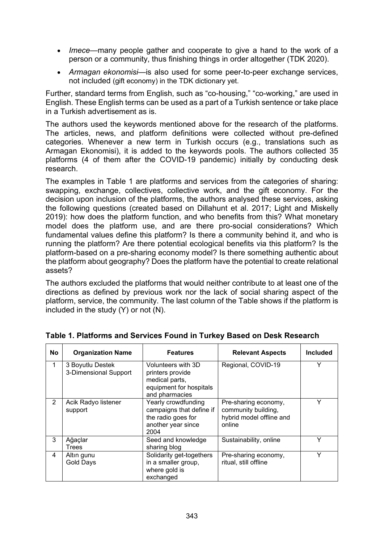- *Imece*—many people gather and cooperate to give a hand to the work of a person or a community, thus finishing things in order altogether (TDK 2020).
- *Armagan ekonomisi*—is also used for some peer-to-peer exchange services, not included (gift economy) in the TDK dictionary yet.

Further, standard terms from English, such as "co-housing," "co-working," are used in English. These English terms can be used as a part of a Turkish sentence or take place in a Turkish advertisement as is.

The authors used the keywords mentioned above for the research of the platforms. The articles, news, and platform definitions were collected without pre-defined categories. Whenever a new term in Turkish occurs (e.g., translations such as Armagan Ekonomisi), it is added to the keywords pools. The authors collected 35 platforms (4 of them after the COVID-19 pandemic) initially by conducting desk research.

The examples in Table 1 are platforms and services from the categories of sharing: swapping, exchange, collectives, collective work, and the gift economy. For the decision upon inclusion of the platforms, the authors analysed these services, asking the following questions (created based on Dillahunt et al. 2017; Light and Miskelly 2019): how does the platform function, and who benefits from this? What monetary model does the platform use, and are there pro-social considerations? Which fundamental values define this platform? Is there a community behind it, and who is running the platform? Are there potential ecological benefits via this platform? Is the platform-based on a pre-sharing economy model? Is there something authentic about the platform about geography? Does the platform have the potential to create relational assets?

The authors excluded the platforms that would neither contribute to at least one of the directions as defined by previous work nor the lack of social sharing aspect of the platform, service, the community. The last column of the Table shows if the platform is included in the study (Y) or not (N).

| No | <b>Organization Name</b>                  | <b>Features</b>                                                                                       | <b>Relevant Aspects</b>                                                           | <b>Included</b> |
|----|-------------------------------------------|-------------------------------------------------------------------------------------------------------|-----------------------------------------------------------------------------------|-----------------|
|    | 3 Boyutlu Destek<br>3-Dimensional Support | Volunteers with 3D<br>printers provide<br>medical parts,<br>equipment for hospitals<br>and pharmacies | Regional, COVID-19                                                                | Υ               |
| 2  | Acik Radyo listener<br>support            | Yearly crowdfunding<br>campaigns that define if<br>the radio goes for<br>another year since<br>2004   | Pre-sharing economy,<br>community building,<br>hybrid model offline and<br>online | Υ               |
| 3  | Ağaçlar<br>Trees                          | Seed and knowledge<br>sharing blog                                                                    | Sustainability, online                                                            | ۷               |
| 4  | Altın gunu<br><b>Gold Days</b>            | Solidarity get-togethers<br>in a smaller group,<br>where gold is<br>exchanged                         | Pre-sharing economy,<br>ritual, still offline                                     | Υ               |

#### **Table 1. Platforms and Services Found in Turkey Based on Desk Research**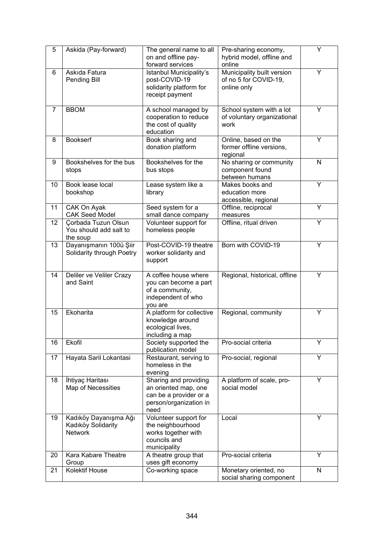| 5              | Askida (Pay-forward)                                          | The general name to all<br>on and offline pay-<br>forward services                                        | Pre-sharing economy,<br>hybrid model, offline and<br>online        | Y            |
|----------------|---------------------------------------------------------------|-----------------------------------------------------------------------------------------------------------|--------------------------------------------------------------------|--------------|
| 6              | Askıda Fatura<br>Pending Bill                                 | Istanbul Municipality's<br>post-COVID-19<br>solidarity platform for<br>receipt payment                    | Municipality built version<br>of no 5 for COVID-19,<br>online only | Y            |
| $\overline{7}$ | <b>BBOM</b>                                                   | A school managed by<br>cooperation to reduce<br>the cost of quality<br>education                          | School system with a lot<br>of voluntary organizational<br>work    | Y            |
| 8              | <b>Bookserf</b>                                               | Book sharing and<br>donation platform                                                                     | Online, based on the<br>former offline versions,<br>regional       | Υ            |
| 9              | Bookshelves for the bus<br>stops                              | Bookshelves for the<br>bus stops                                                                          | No sharing or community<br>component found<br>between humans       | $\mathsf{N}$ |
| 10             | Book lease local<br>bookshop                                  | Lease system like a<br>library                                                                            | Makes books and<br>education more<br>accessible, regional          | Υ            |
| 11             | CAK On Ayak<br><b>CAK Seed Model</b>                          | Seed system for a<br>small dance company                                                                  | Offline, reciprocal<br>measures                                    | Y            |
| 12             | Çorbada Tuzun Olsun<br>You should add salt to<br>the soup     | Volunteer support for<br>homeless people                                                                  | Offline, ritual driven                                             | Ÿ            |
| 13             | Dayanışmanın 100ü Şiir<br>Solidarity through Poetry           | Post-COVID-19 theatre<br>worker solidarity and<br>support                                                 | Born with COVID-19                                                 | Y            |
| 14             | Deliler ve Veliler Crazy<br>and Saint                         | A coffee house where<br>you can become a part<br>of a community,<br>independent of who<br>you are         | Regional, historical, offline                                      | Υ            |
| 15             | Ekoharita                                                     | A platform for collective<br>knowledge around<br>ecological lives,<br>including a map                     | Regional, community                                                | Y            |
| 16             | Ekofil                                                        | Society supported the<br>publication model                                                                | Pro-social criteria                                                | Ÿ            |
| 17             | Hayata Saril Lokantasi                                        | Restaurant, serving to<br>homeless in the<br>evening                                                      | Pro-social, regional                                               | Y            |
| 18             | İhtiyaç Haritası<br>Map of Necessities                        | Sharing and providing<br>an oriented map, one<br>can be a provider or a<br>person/organization in<br>need | A platform of scale, pro-<br>social model                          | Y            |
| 19             | Kadıköy Dayanışma Ağı<br>Kadıköy Solidarity<br><b>Network</b> | Volunteer support for<br>the neighbourhood<br>works together with<br>councils and<br>municipality         | Local                                                              | Y            |
| 20             | Kara Kabare Theatre<br>Group                                  | A theatre group that<br>uses gift economy                                                                 | Pro-social criteria                                                | Y            |
| 21             | <b>Kolektif House</b>                                         | Co-working space                                                                                          | Monetary oriented, no<br>social sharing component                  | $\mathsf{N}$ |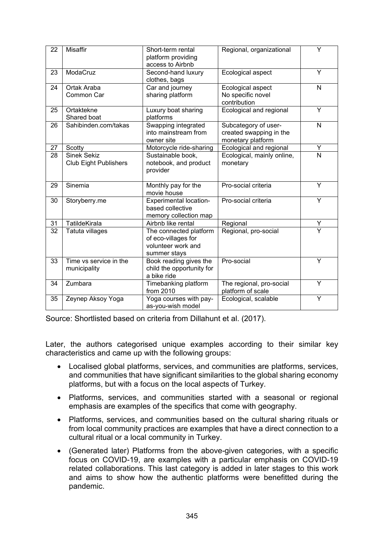| 22 | Misaffir                                           | Short-term rental<br>platform providing<br>access to Airbnb                         | Regional, organizational                                             | Ÿ                       |
|----|----------------------------------------------------|-------------------------------------------------------------------------------------|----------------------------------------------------------------------|-------------------------|
| 23 | ModaCruz                                           | Second-hand luxury<br>clothes, bags                                                 | Ecological aspect                                                    | $\overline{Y}$          |
| 24 | Ortak Araba<br>Common Car                          | Car and journey<br>sharing platform                                                 | Ecological aspect<br>No specific novel<br>contribution               | $\mathsf{N}$            |
| 25 | Ortaktekne<br>Shared boat                          | Luxury boat sharing<br>platforms                                                    | Ecological and regional                                              | Ÿ                       |
| 26 | Sahibinden.com/takas                               | Swapping integrated<br>into mainstream from<br>owner site                           | Subcategory of user-<br>created swapping in the<br>monetary platform | N                       |
| 27 | Scotty                                             | Motorcycle ride-sharing                                                             | Ecological and regional                                              | Υ                       |
| 28 | <b>Sinek Sekiz</b><br><b>Club Eight Publishers</b> | Sustainable book,<br>notebook, and product<br>provider                              | Ecological, mainly online,<br>monetary                               | N                       |
| 29 | Sinemia                                            | Monthly pay for the<br>movie house                                                  | Pro-social criteria                                                  | Y                       |
| 30 | Storyberry.me                                      | Experimental location-<br>based collective<br>memory collection map                 | Pro-social criteria                                                  | Ÿ                       |
| 31 | <b>TatildeKirala</b>                               | Airbnb like rental                                                                  | Regional                                                             | Υ                       |
| 32 | Tatuta villages                                    | The connected platform<br>of eco-villages for<br>volunteer work and<br>summer stays | Regional, pro-social                                                 | $\overline{\mathsf{Y}}$ |
| 33 | Time vs service in the<br>municipality             | Book reading gives the<br>child the opportunity for<br>a bike ride                  | Pro-social                                                           | Y                       |
| 34 | Zumbara                                            | Timebanking platform<br>from 2010                                                   | The regional, pro-social<br>platform of scale                        | Ÿ                       |
| 35 | Zeynep Aksoy Yoga                                  | Yoga courses with pay-<br>as-you-wish model                                         | Ecological, scalable                                                 | Υ                       |

Source: Shortlisted based on criteria from Dillahunt et al. (2017).

Later, the authors categorised unique examples according to their similar key characteristics and came up with the following groups:

- Localised global platforms, services, and communities are platforms, services, and communities that have significant similarities to the global sharing economy platforms, but with a focus on the local aspects of Turkey.
- Platforms, services, and communities started with a seasonal or regional emphasis are examples of the specifics that come with geography.
- Platforms, services, and communities based on the cultural sharing rituals or from local community practices are examples that have a direct connection to a cultural ritual or a local community in Turkey.
- (Generated later) Platforms from the above-given categories, with a specific focus on COVID-19, are examples with a particular emphasis on COVID-19 related collaborations. This last category is added in later stages to this work and aims to show how the authentic platforms were benefitted during the pandemic.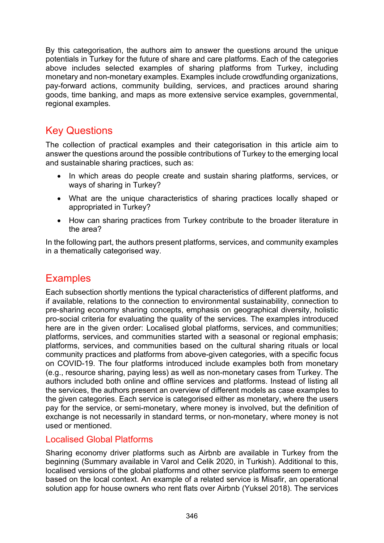By this categorisation, the authors aim to answer the questions around the unique potentials in Turkey for the future of share and care platforms. Each of the categories above includes selected examples of sharing platforms from Turkey, including monetary and non-monetary examples. Examples include crowdfunding organizations, pay-forward actions, community building, services, and practices around sharing goods, time banking, and maps as more extensive service examples, governmental, regional examples.

### Key Questions

The collection of practical examples and their categorisation in this article aim to answer the questions around the possible contributions of Turkey to the emerging local and sustainable sharing practices, such as:

- In which areas do people create and sustain sharing platforms, services, or ways of sharing in Turkey?
- What are the unique characteristics of sharing practices locally shaped or appropriated in Turkey?
- How can sharing practices from Turkey contribute to the broader literature in the area?

In the following part, the authors present platforms, services, and community examples in a thematically categorised way.

## **Examples**

Each subsection shortly mentions the typical characteristics of different platforms, and if available, relations to the connection to environmental sustainability, connection to pre-sharing economy sharing concepts, emphasis on geographical diversity, holistic pro-social criteria for evaluating the quality of the services. The examples introduced here are in the given order: Localised global platforms, services, and communities; platforms, services, and communities started with a seasonal or regional emphasis; platforms, services, and communities based on the cultural sharing rituals or local community practices and platforms from above-given categories, with a specific focus on COVID-19. The four platforms introduced include examples both from monetary (e.g., resource sharing, paying less) as well as non-monetary cases from Turkey. The authors included both online and offline services and platforms. Instead of listing all the services, the authors present an overview of different models as case examples to the given categories. Each service is categorised either as monetary, where the users pay for the service, or semi-monetary, where money is involved, but the definition of exchange is not necessarily in standard terms, or non-monetary, where money is not used or mentioned.

#### Localised Global Platforms

Sharing economy driver platforms such as Airbnb are available in Turkey from the beginning (Summary available in Varol and Celik 2020, in Turkish). Additional to this, localised versions of the global platforms and other service platforms seem to emerge based on the local context. An example of a related service is Misafir, an operational solution app for house owners who rent flats over Airbnb (Yuksel 2018). The services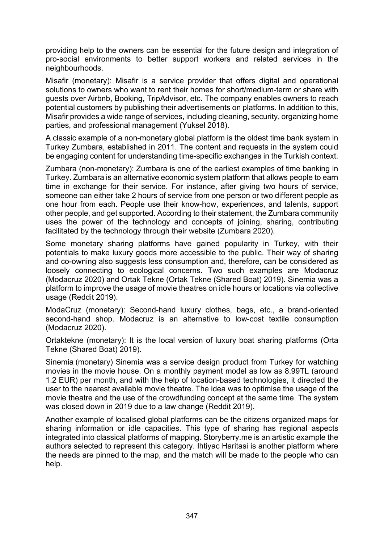providing help to the owners can be essential for the future design and integration of pro-social environments to better support workers and related services in the neighbourhoods.

Misafir (monetary): Misafir is a service provider that offers digital and operational solutions to owners who want to rent their homes for short/medium-term or share with guests over Airbnb, Booking, TripAdvisor, etc. The company enables owners to reach potential customers by publishing their advertisements on platforms. In addition to this, Misafir provides a wide range of services, including cleaning, security, organizing home parties, and professional management (Yuksel 2018).

A classic example of a non-monetary global platform is the oldest time bank system in Turkey Zumbara, established in 2011. The content and requests in the system could be engaging content for understanding time-specific exchanges in the Turkish context.

Zumbara (non-monetary): Zumbara is one of the earliest examples of time banking in Turkey. Zumbara is an alternative economic system platform that allows people to earn time in exchange for their service. For instance, after giving two hours of service, someone can either take 2 hours of service from one person or two different people as one hour from each. People use their know-how, experiences, and talents, support other people, and get supported. According to their statement, the Zumbara community uses the power of the technology and concepts of joining, sharing, contributing facilitated by the technology through their website (Zumbara 2020).

Some monetary sharing platforms have gained popularity in Turkey, with their potentials to make luxury goods more accessible to the public. Their way of sharing and co-owning also suggests less consumption and, therefore, can be considered as loosely connecting to ecological concerns. Two such examples are Modacruz (Modacruz 2020) and Ortak Tekne (Ortak Tekne (Shared Boat) 2019). Sinemia was a platform to improve the usage of movie theatres on idle hours or locations via collective usage (Reddit 2019).

ModaCruz (monetary): Second-hand luxury clothes, bags, etc., a brand-oriented second-hand shop. Modacruz is an alternative to low-cost textile consumption (Modacruz 2020).

Ortaktekne (monetary): It is the local version of luxury boat sharing platforms (Orta Tekne (Shared Boat) 2019).

Sinemia (monetary) Sinemia was a service design product from Turkey for watching movies in the movie house. On a monthly payment model as low as 8.99TL (around 1.2 EUR) per month, and with the help of location-based technologies, it directed the user to the nearest available movie theatre. The idea was to optimise the usage of the movie theatre and the use of the crowdfunding concept at the same time. The system was closed down in 2019 due to a law change (Reddit 2019).

Another example of localised global platforms can be the citizens organized maps for sharing information or idle capacities. This type of sharing has regional aspects integrated into classical platforms of mapping. Storyberry.me is an artistic example the authors selected to represent this category. Ihtiyac Haritasi is another platform where the needs are pinned to the map, and the match will be made to the people who can help.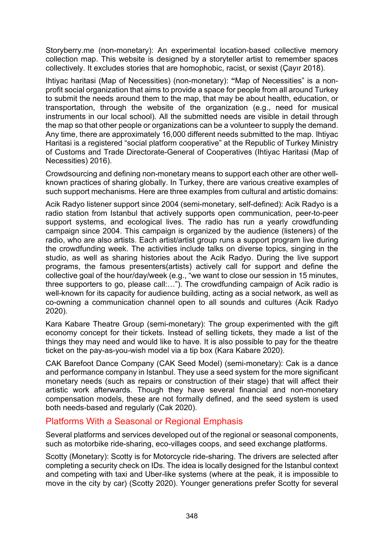Storyberry.me (non-monetary): An experimental location-based collective memory collection map. This website is designed by a storyteller artist to remember spaces collectively. It excludes stories that are homophobic, racist, or sexist (Çayır 2018).

Ihtiyac haritasi (Map of Necessities) (non-monetary): **"**Map of Necessities" is a nonprofit social organization that aims to provide a space for people from all around Turkey to submit the needs around them to the map, that may be about health, education, or transportation, through the website of the organization (e.g., need for musical instruments in our local school). All the submitted needs are visible in detail through the map so that other people or organizations can be a volunteer to supply the demand. Any time, there are approximately 16,000 different needs submitted to the map. Ihtiyac Haritasi is a registered "social platform cooperative" at the Republic of Turkey Ministry of Customs and Trade Directorate-General of Cooperatives (Ihtiyac Haritasi (Map of Necessities) 2016).

Crowdsourcing and defining non-monetary means to support each other are other wellknown practices of sharing globally. In Turkey, there are various creative examples of such support mechanisms. Here are three examples from cultural and artistic domains:

Acik Radyo listener support since 2004 (semi-monetary, self-defined): Acik Radyo is a radio station from Istanbul that actively supports open communication, peer-to-peer support systems, and ecological lives. The radio has run a yearly crowdfunding campaign since 2004. This campaign is organized by the audience (listeners) of the radio, who are also artists. Each artist/artist group runs a support program live during the crowdfunding week. The activities include talks on diverse topics, singing in the studio, as well as sharing histories about the Acik Radyo. During the live support programs, the famous presenters(artists) actively call for support and define the collective goal of the hour/day/week (e.g., "we want to close our session in 15 minutes, three supporters to go, please call:…"). The crowdfunding campaign of Acik radio is well-known for its capacity for audience building, acting as a social network, as well as co-owning a communication channel open to all sounds and cultures (Acik Radyo 2020).

Kara Kabare Theatre Group (semi-monetary): The group experimented with the gift economy concept for their tickets. Instead of selling tickets, they made a list of the things they may need and would like to have. It is also possible to pay for the theatre ticket on the pay-as-you-wish model via a tip box (Kara Kabare 2020).

CAK Barefoot Dance Company (CAK Seed Model) (semi-monetary): Cak is a dance and performance company in Istanbul. They use a seed system for the more significant monetary needs (such as repairs or construction of their stage) that will affect their artistic work afterwards. Though they have several financial and non-monetary compensation models, these are not formally defined, and the seed system is used both needs-based and regularly (Cak 2020).

#### Platforms With a Seasonal or Regional Emphasis

Several platforms and services developed out of the regional or seasonal components, such as motorbike ride-sharing, eco-villages coops, and seed exchange platforms.

Scotty (Monetary): Scotty is for Motorcycle ride-sharing. The drivers are selected after completing a security check on IDs. The idea is locally designed for the Istanbul context and competing with taxi and Uber-like systems (where at the peak, it is impossible to move in the city by car) (Scotty 2020). Younger generations prefer Scotty for several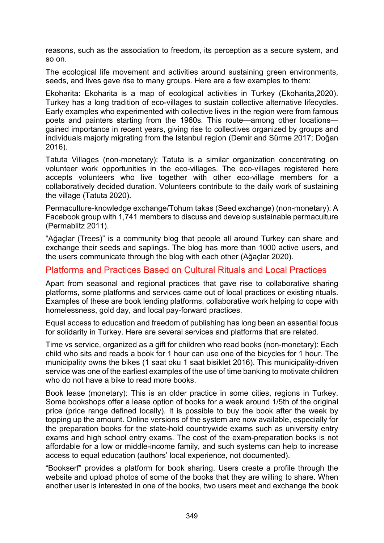reasons, such as the association to freedom, its perception as a secure system, and so on.

The ecological life movement and activities around sustaining green environments, seeds, and lives gave rise to many groups. Here are a few examples to them:

Ekoharita: Ekoharita is a map of ecological activities in Turkey (Ekoharita,2020). Turkey has a long tradition of eco-villages to sustain collective alternative lifecycles. Early examples who experimented with collective lives in the region were from famous poets and painters starting from the 1960s. This route—among other locations gained importance in recent years, giving rise to collectives organized by groups and individuals majorly migrating from the Istanbul region (Demir and Sürme 2017; Doğan 2016).

Tatuta Villages (non-monetary): Tatuta is a similar organization concentrating on volunteer work opportunities in the eco-villages. The eco-villages registered here accepts volunteers who live together with other eco-village members for a collaboratively decided duration. Volunteers contribute to the daily work of sustaining the village (Tatuta 2020).

Permaculture-knowledge exchange/Tohum takas (Seed exchange) (non-monetary): A Facebook group with 1,741 members to discuss and develop sustainable permaculture (Permablitz 2011).

"Ağaçlar (Trees)" is a community blog that people all around Turkey can share and exchange their seeds and saplings. The blog has more than 1000 active users, and the users communicate through the blog with each other (Ağaçlar 2020).

#### Platforms and Practices Based on Cultural Rituals and Local Practices

Apart from seasonal and regional practices that gave rise to collaborative sharing platforms, some platforms and services came out of local practices or existing rituals. Examples of these are book lending platforms, collaborative work helping to cope with homelessness, gold day, and local pay-forward practices.

Equal access to education and freedom of publishing has long been an essential focus for solidarity in Turkey. Here are several services and platforms that are related.

Time vs service, organized as a gift for children who read books (non-monetary): Each child who sits and reads a book for 1 hour can use one of the bicycles for 1 hour. The municipality owns the bikes (1 saat oku 1 saat bisiklet 2016). This municipality-driven service was one of the earliest examples of the use of time banking to motivate children who do not have a bike to read more books.

Book lease (monetary): This is an older practice in some cities, regions in Turkey. Some bookshops offer a lease option of books for a week around 1/5th of the original price (price range defined locally). It is possible to buy the book after the week by topping up the amount. Online versions of the system are now available, especially for the preparation books for the state-hold countrywide exams such as university entry exams and high school entry exams. The cost of the exam-preparation books is not affordable for a low or middle-income family, and such systems can help to increase access to equal education (authors' local experience, not documented).

"Bookserf" provides a platform for book sharing. Users create a profile through the website and upload photos of some of the books that they are willing to share. When another user is interested in one of the books, two users meet and exchange the book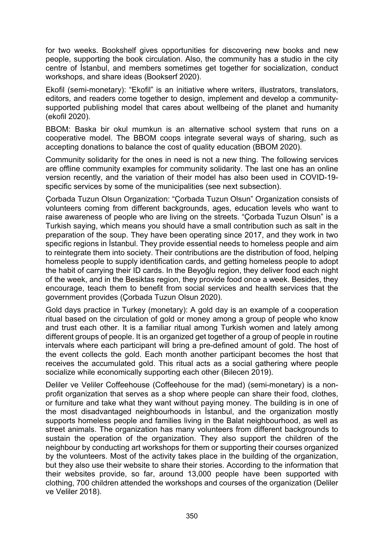for two weeks. Bookshelf gives opportunities for discovering new books and new people, supporting the book circulation. Also, the community has a studio in the city centre of İstanbul, and members sometimes get together for socialization, conduct workshops, and share ideas (Bookserf 2020).

Ekofil (semi-monetary): "Ekofil" is an initiative where writers, illustrators, translators, editors, and readers come together to design, implement and develop a communitysupported publishing model that cares about wellbeing of the planet and humanity (ekofil 2020).

BBOM: Baska bir okul mumkun is an alternative school system that runs on a cooperative model. The BBOM coops integrate several ways of sharing, such as accepting donations to balance the cost of quality education (BBOM 2020).

Community solidarity for the ones in need is not a new thing. The following services are offline community examples for community solidarity. The last one has an online version recently, and the variation of their model has also been used in COVID-19 specific services by some of the municipalities (see next subsection).

Çorbada Tuzun Olsun Organization: "Çorbada Tuzun Olsun" Organization consists of volunteers coming from different backgrounds, ages, education levels who want to raise awareness of people who are living on the streets. "Çorbada Tuzun Olsun" is a Turkish saying, which means you should have a small contribution such as salt in the preparation of the soup. They have been operating since 2017, and they work in two specific regions in İstanbul. They provide essential needs to homeless people and aim to reintegrate them into society. Their contributions are the distribution of food, helping homeless people to supply identification cards, and getting homeless people to adopt the habit of carrying their ID cards. In the Beyoğlu region, they deliver food each night of the week, and in the Besiktas region, they provide food once a week. Besides, they encourage, teach them to benefit from social services and health services that the government provides (Çorbada Tuzun Olsun 2020).

Gold days practice in Turkey (monetary): A gold day is an example of a cooperation ritual based on the circulation of gold or money among a group of people who know and trust each other. It is a familiar ritual among Turkish women and lately among different groups of people. It is an organized get together of a group of people in routine intervals where each participant will bring a pre-defined amount of gold. The host of the event collects the gold. Each month another participant becomes the host that receives the accumulated gold. This ritual acts as a social gathering where people socialize while economically supporting each other (Bilecen 2019).

Deliler ve Veliler Coffeehouse (Coffeehouse for the mad) (semi-monetary) is a nonprofit organization that serves as a shop where people can share their food, clothes, or furniture and take what they want without paying money. The building is in one of the most disadvantaged neighbourhoods in İstanbul, and the organization mostly supports homeless people and families living in the Balat neighbourhood, as well as street animals. The organization has many volunteers from different backgrounds to sustain the operation of the organization. They also support the children of the neighbour by conducting art workshops for them or supporting their courses organized by the volunteers. Most of the activity takes place in the building of the organization, but they also use their website to share their stories. According to the information that their websites provide, so far, around 13,000 people have been supported with clothing, 700 children attended the workshops and courses of the organization (Deliler ve Veliler 2018).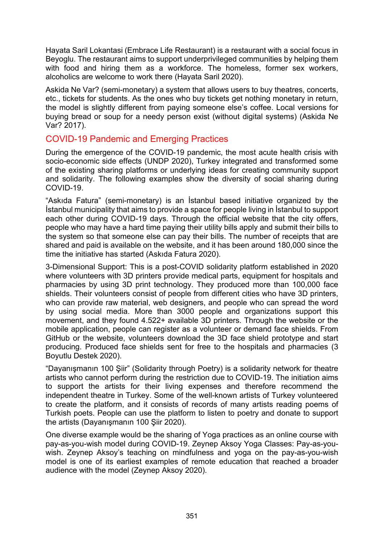Hayata Saril Lokantasi (Embrace Life Restaurant) is a restaurant with a social focus in Beyoglu. The restaurant aims to support underprivileged communities by helping them with food and hiring them as a workforce. The homeless, former sex workers, alcoholics are welcome to work there (Hayata Saril 2020).

Askida Ne Var? (semi-monetary) a system that allows users to buy theatres, concerts, etc., tickets for students. As the ones who buy tickets get nothing monetary in return, the model is slightly different from paying someone else's coffee. Local versions for buying bread or soup for a needy person exist (without digital systems) (Askida Ne Var? 2017).

#### COVID-19 Pandemic and Emerging Practices

During the emergence of the COVID-19 pandemic, the most acute health crisis with socio-economic side effects (UNDP 2020), Turkey integrated and transformed some of the existing sharing platforms or underlying ideas for creating community support and solidarity. The following examples show the diversity of social sharing during COVID-19.

"Askıda Fatura" (semi-monetary) is an İstanbul based initiative organized by the İstanbul municipality that aims to provide a space for people living in İstanbul to support each other during COVID-19 days. Through the official website that the city offers, people who may have a hard time paying their utility bills apply and submit their bills to the system so that someone else can pay their bills. The number of receipts that are shared and paid is available on the website, and it has been around 180,000 since the time the initiative has started (Askıda Fatura 2020).

3-Dimensional Support: This is a post-COVID solidarity platform established in 2020 where volunteers with 3D printers provide medical parts, equipment for hospitals and pharmacies by using 3D print technology. They produced more than 100,000 face shields. Their volunteers consist of people from different cities who have 3D printers, who can provide raw material, web designers, and people who can spread the word by using social media. More than 3000 people and organizations support this movement, and they found 4.522+ available 3D printers. Through the website or the mobile application, people can register as a volunteer or demand face shields. From GitHub or the website, volunteers download the 3D face shield prototype and start producing. Produced face shields sent for free to the hospitals and pharmacies (3 Boyutlu Destek 2020).

"Dayanışmanın 100 Şiir" (Solidarity through Poetry) is a solidarity network for theatre artists who cannot perform during the restriction due to COVID-19. The initiation aims to support the artists for their living expenses and therefore recommend the independent theatre in Turkey. Some of the well-known artists of Turkey volunteered to create the platform, and it consists of records of many artists reading poems of Turkish poets. People can use the platform to listen to poetry and donate to support the artists (Dayanışmanın 100 Şiir 2020).

One diverse example would be the sharing of Yoga practices as an online course with pay-as-you-wish model during COVID-19. Zeynep Aksoy Yoga Classes: Pay-as-youwish. Zeynep Aksoy's teaching on mindfulness and yoga on the pay-as-you-wish model is one of its earliest examples of remote education that reached a broader audience with the model (Zeynep Aksoy 2020).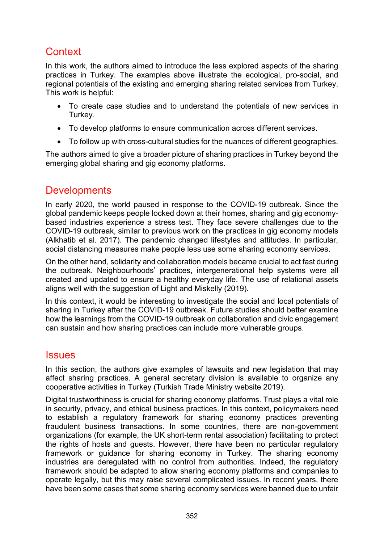## **Context**

In this work, the authors aimed to introduce the less explored aspects of the sharing practices in Turkey. The examples above illustrate the ecological, pro-social, and regional potentials of the existing and emerging sharing related services from Turkey. This work is helpful:

- To create case studies and to understand the potentials of new services in Turkey.
- To develop platforms to ensure communication across different services.
- To follow up with cross-cultural studies for the nuances of different geographies.

The authors aimed to give a broader picture of sharing practices in Turkey beyond the emerging global sharing and gig economy platforms.

### **Developments**

In early 2020, the world paused in response to the COVID-19 outbreak. Since the global pandemic keeps people locked down at their homes, sharing and gig economybased industries experience a stress test. They face severe challenges due to the COVID-19 outbreak, similar to previous work on the practices in gig economy models (Alkhatib et al. 2017). The pandemic changed lifestyles and attitudes. In particular, social distancing measures make people less use some sharing economy services.

On the other hand, solidarity and collaboration models became crucial to act fast during the outbreak. Neighbourhoods' practices, intergenerational help systems were all created and updated to ensure a healthy everyday life. The use of relational assets aligns well with the suggestion of Light and Miskelly (2019).

In this context, it would be interesting to investigate the social and local potentials of sharing in Turkey after the COVID-19 outbreak. Future studies should better examine how the learnings from the COVID-19 outbreak on collaboration and civic engagement can sustain and how sharing practices can include more vulnerable groups.

#### **Issues**

In this section, the authors give examples of lawsuits and new legislation that may affect sharing practices. A general secretary division is available to organize any cooperative activities in Turkey (Turkish Trade Ministry website 2019).

Digital trustworthiness is crucial for sharing economy platforms. Trust plays a vital role in security, privacy, and ethical business practices. In this context, policymakers need to establish a regulatory framework for sharing economy practices preventing fraudulent business transactions. In some countries, there are non-government organizations (for example, the UK short-term rental association) facilitating to protect the rights of hosts and guests. However, there have been no particular regulatory framework or guidance for sharing economy in Turkey. The sharing economy industries are deregulated with no control from authorities. Indeed, the regulatory framework should be adapted to allow sharing economy platforms and companies to operate legally, but this may raise several complicated issues. In recent years, there have been some cases that some sharing economy services were banned due to unfair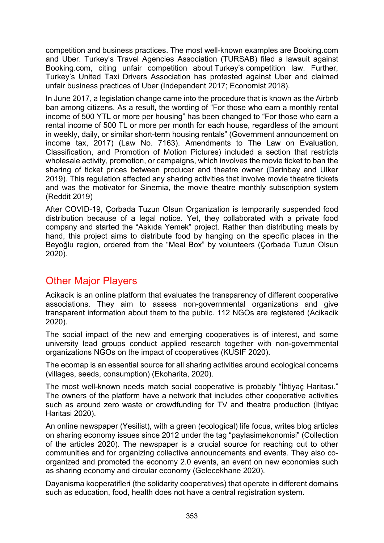competition and business practices. The most well-known examples are Booking.com and Uber. Turkey's Travel Agencies Association (TURSAB) filed a lawsuit against Booking.com, citing unfair competition about Turkey's competition law. Further, Turkey's United Taxi Drivers Association has protested against Uber and claimed unfair business practices of Uber (Independent 2017; Economist 2018).

In June 2017, a legislation change came into the procedure that is known as the Airbnb ban among citizens. As a result, the wording of "For those who earn a monthly rental income of 500 YTL or more per housing" has been changed to "For those who earn a rental income of 500 TL or more per month for each house, regardless of the amount in weekly, daily, or similar short-term housing rentals" (Government announcement on income tax, 2017) (Law No. 7163). Amendments to The Law on Evaluation, Classification, and Promotion of Motion Pictures) included a section that restricts wholesale activity, promotion, or campaigns, which involves the movie ticket to ban the sharing of ticket prices between producer and theatre owner (Derinbay and Ulker 2019). This regulation affected any sharing activities that involve movie theatre tickets and was the motivator for Sinemia, the movie theatre monthly subscription system (Reddit 2019)

After COVID-19, Çorbada Tuzun Olsun Organization is temporarily suspended food distribution because of a legal notice. Yet, they collaborated with a private food company and started the "Askıda Yemek" project. Rather than distributing meals by hand, this project aims to distribute food by hanging on the specific places in the Beyoğlu region, ordered from the "Meal Box" by volunteers (Çorbada Tuzun Olsun 2020).

## Other Major Players

Acikacik is an online platform that evaluates the transparency of different cooperative associations. They aim to assess non-governmental organizations and give transparent information about them to the public. 112 NGOs are registered (Acikacik 2020).

The social impact of the new and emerging cooperatives is of interest, and some university lead groups conduct applied research together with non-governmental organizations NGOs on the impact of cooperatives (KUSIF 2020).

The ecomap is an essential source for all sharing activities around ecological concerns (villages, seeds, consumption) (Ekoharita, 2020).

The most well-known needs match social cooperative is probably "İhtiyaç Haritası." The owners of the platform have a network that includes other cooperative activities such as around zero waste or crowdfunding for TV and theatre production (Ihtiyac Haritasi 2020).

An online newspaper (Yesilist), with a green (ecological) life focus, writes blog articles on sharing economy issues since 2012 under the tag "paylasimekonomisi" (Collection of the articles 2020). The newspaper is a crucial source for reaching out to other communities and for organizing collective announcements and events. They also coorganized and promoted the economy 2.0 events, an event on new economies such as sharing economy and circular economy (Gelecekhane 2020).

Dayanisma kooperatifleri (the solidarity cooperatives) that operate in different domains such as education, food, health does not have a central registration system.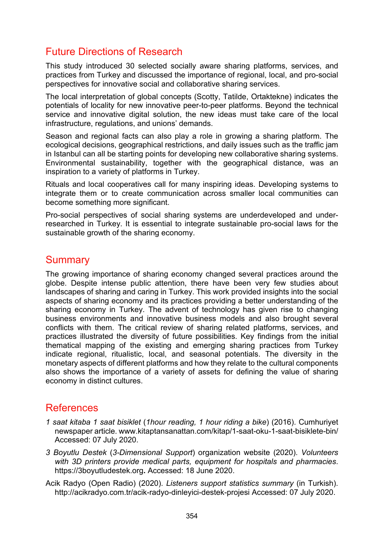### Future Directions of Research

This study introduced 30 selected socially aware sharing platforms, services, and practices from Turkey and discussed the importance of regional, local, and pro-social perspectives for innovative social and collaborative sharing services.

The local interpretation of global concepts (Scotty, Tatilde, Ortaktekne) indicates the potentials of locality for new innovative peer-to-peer platforms. Beyond the technical service and innovative digital solution, the new ideas must take care of the local infrastructure, regulations, and unions' demands.

Season and regional facts can also play a role in growing a sharing platform. The ecological decisions, geographical restrictions, and daily issues such as the traffic jam in Istanbul can all be starting points for developing new collaborative sharing systems. Environmental sustainability, together with the geographical distance, was an inspiration to a variety of platforms in Turkey.

Rituals and local cooperatives call for many inspiring ideas. Developing systems to integrate them or to create communication across smaller local communities can become something more significant.

Pro-social perspectives of social sharing systems are underdeveloped and underresearched in Turkey. It is essential to integrate sustainable pro-social laws for the sustainable growth of the sharing economy.

### **Summary**

The growing importance of sharing economy changed several practices around the globe. Despite intense public attention, there have been very few studies about landscapes of sharing and caring in Turkey. This work provided insights into the social aspects of sharing economy and its practices providing a better understanding of the sharing economy in Turkey. The advent of technology has given rise to changing business environments and innovative business models and also brought several conflicts with them. The critical review of sharing related platforms, services, and practices illustrated the diversity of future possibilities. Key findings from the initial thematical mapping of the existing and emerging sharing practices from Turkey indicate regional, ritualistic, local, and seasonal potentials. The diversity in the monetary aspects of different platforms and how they relate to the cultural components also shows the importance of a variety of assets for defining the value of sharing economy in distinct cultures.

### References

- *1 saat kitaba 1 saat bisiklet* (*1hour reading, 1 hour riding a bike*) (2016). Cumhuriyet newspaper article. [www.kitaptansanattan.com/kitap/1-saat-oku-1-saat-](https://www.kitaptansanattan.com/kitap/1-saat-oku-1-saat-bisiklete-bin/)bisiklete-bin/ Accessed: 07 July 2020.
- *3 Boyutlu Destek* (*3-Dimensional Support*) organization website (2020). *Volunteers with 3D printers provide medical parts, equipment for hospitals and pharmacies*. [https://3boyutludestek.org](https://3boyutludestek.org/)**.** Accessed: 18 June 2020.
- Acik Radyo (Open Radio) (2020). *Listeners support statistics summary* (in Turkish)[.](http://acikradyo.com.tr/acik-radyo-dinleyici-destek-projesi) <http://acikradyo.com.tr/acik-radyo-dinleyici-destek-projesi> Accessed: 07 July 2020.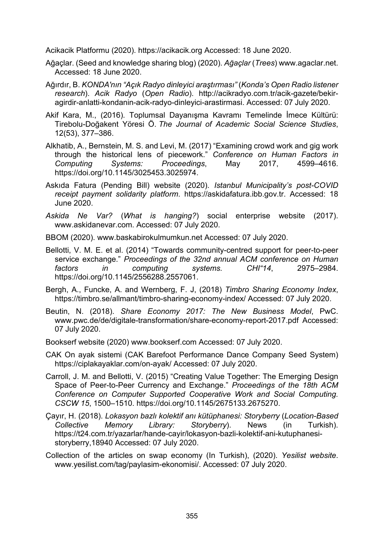Acikacik Platformu (2020). [https://acikacik.org](https://acikacik.org/) Accessed: 18 June 2020.

- Ağaçlar. (Seed and knowledge sharing blog) (2020). *Ağaçlar* (*Trees*) [www.agaclar.net.](http://www.agaclar.net/) Accessed: 18 June 2020.
- Ağırdır, B. *KONDA'nın "Açık Radyo dinleyici araştırması"* (*Konda's Open Radio listener research*). *Acik Radyo* (*Open Radio*). [http://acikradyo.com.tr/acik-](http://acikradyo.com.tr/acik-gazete/bekir-agirdir-anlatti-kondanin-acik-radyo-dinleyici-arastirmasi.%20Accessed%2007.07.2020)gazete/bekir[agirdir-anlatti-kondanin-acik-radyo-dinleyici-arastirmasi. Accessed: 07](http://acikradyo.com.tr/acik-gazete/bekir-agirdir-anlatti-kondanin-acik-radyo-dinleyici-arastirmasi.%20Accessed%2007.07.2020) July 2020.
- Akif Kara, M., (2016). Toplumsal Dayanışma Kavramı Temelinde İmece Kültürü: Tirebolu-Doğakent Yöresi Ö. *The Journal of Academic Social Science Studies*, 12(53), 377–386.
- Alkhatib, A., Bernstein, M. S. and Levi, M. (2017) "Examining crowd work and gig work through the historical lens of piecework." *Conference on Human Factors in Computing Systems: Proceedings*, May 2017, 4599–4616. https://doi.org/10.1145/3025453.3025974.
- Askıda Fatura (Pending Bill) website (2020). *Istanbul Municipality's post-COVID receipt payment solidarity platform*. [https://askidafatura.ibb.gov.tr](https://askidafatura.ibb.gov.tr/). Accessed: 18 June 2020.
- *Askida Ne Var?* (*What is hanging?*) social enterprise website (2017)[.](http://www.askidanevar.com/) [www.askidanevar.com.](http://www.askidanevar.com/) Accessed: 07 July 2020.
- BBOM (2020). [www.baskabirokulmumkun.net](http://www.baskabirokulmumkun.net/) Accessed: 07 July 2020.
- Bellotti, V. M. E. et al. (2014) "Towards community-centred support for peer-to-peer service exchange." *Proceedings of the 32nd annual ACM conference on Human factors in computing systems. CHI"14*, 2975–2984. https://doi.org/10.1145/2556288.2557061.
- Bergh, A., Funcke, A. and Wernberg, F. J, (2018) *Timbro Sharing Economy Index*[,](https://timbro.se/allmant/timbro-sharing-economy-index/) [https://timbro.se/allmant/timbro](https://timbro.se/allmant/timbro-sharing-economy-index/)-sharing-economy-index/ Accessed: 07 July 2020.
- Beutin, N. (2018). *Share Economy 2017: The New Business Model*, PwC[.](https://www.pwc.de/de/digitale-transformation/share-economy-report-2017.pdf) [www.pwc.de/de/digitale-transformation/share-economy-report-2017.pdf](https://www.pwc.de/de/digitale-transformation/share-economy-report-2017.pdf) Accessed: 07 July 2020.
- Bookserf website (2020) [www.bookserf.com](http://www.bookserf.com/) Accessed: 07 July 2020.
- CAK On ayak sistemi (CAK Barefoot Performance Dance Company Seed System) <https://ciplakayaklar.com/on-ayak/> Accessed: 07 July 2020.
- Carroll, J. M. and Bellotti, V. (2015) "Creating Value Together: The Emerging Design Space of Peer-to-Peer Currency and Exchange." *Proceedings of the 18th ACM Conference on Computer Supported Cooperative Work and Social Computing. CSCW 15*, 1500–1510. https://doi.org/10.1145/2675133.2675270.
- Çayır, H. (2018). *Lokasyon bazlı kolektif anı kütüphanesi: Storyberry* (*Location-Based Collective Memory Library: Storyberry*). News (in Turkish)[.](https://t24.com.tr/yazarlar/hande-cayir/lokasyon-bazli-kolektif-ani-kutuphanesi-storyberry,18940) [https://t24.com.tr/yazarlar/hande-cayir/lokasyon-](https://t24.com.tr/yazarlar/hande-cayir/lokasyon-bazli-kolektif-ani-kutuphanesi-storyberry,18940)bazli-kolektif-ani-kutuphanesi[storyberry,18940](https://t24.com.tr/yazarlar/hande-cayir/lokasyon-bazli-kolektif-ani-kutuphanesi-storyberry,18940) Accessed: 07 July 2020.
- Collection of the articles on swap economy (In Turkish), (2020). *[Y](https://www.yesilist.com/tag/paylasim-ekonomisi/)esilist website*. [www.yesilist.com/tag/paylasim-ekonomisi/.](https://www.yesilist.com/tag/paylasim-ekonomisi/) Accessed: 07 July 2020.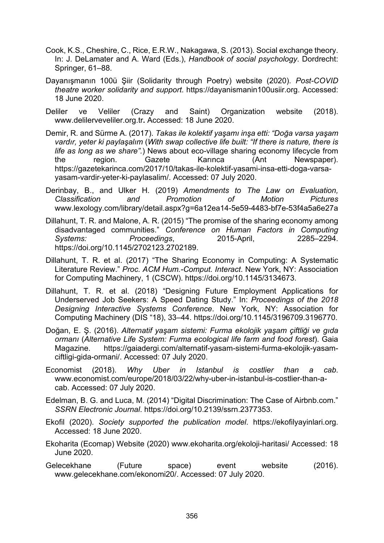- Cook, K.S., Cheshire, C., Rice, E.R.W., Nakagawa, S. (2013). Social exchange theory. In: J. DeLamater and A. Ward (Eds.), *Handbook of social psychology*. Dordrecht: Springer, 61–88.
- Dayanışmanın 100ü Şiir (Solidarity through Poetry) website (2020). *Post-COVID theatre worker solidarity and support*. [https://dayanismanin100usiir.org.](https://dayanismanin100usiir.org/) Accessed: 18 June 2020.
- Deliler ve Veliler (Crazy and Saint) Organization website (2018). [www.delilerveveliler.org.tr](https://www.delilerveveliler.org.tr/)**.** Accessed: 18 June 2020.
- Demir, R. and Sürme A. (2017). *Takas ile kolektif yaşamı inşa etti: "Doğa varsa yaşam vardır, yeter ki paylaşalım* (*With swap collective life built: "If there is nature, there is life as long as we share".*) News about eco-village sharing economy lifecycle from the region. Gazete Karınca (Ant Newspaper). [https://gazetekarinca.com/2017/10/takas-ile-kolektif-yasami-insa-etti-doga-varsa](https://gazetekarinca.com/2017/10/takas-ile-kolektif-yasami-insa-etti-doga-varsa-yasam-vardir-yeter-ki-paylasalim/)[yasam-vardir-yeter-ki-paylasalim/.](https://gazetekarinca.com/2017/10/takas-ile-kolektif-yasami-insa-etti-doga-varsa-yasam-vardir-yeter-ki-paylasalim/) Accessed: 07 July 2020.
- Derinbay, B., and Ulker H. (2019) *Amendments to The Law on Evaluation, Classification and Promotion of Motion Pictures* [www.lexology.com/library/detail.aspx?g=6a12ea14](https://www.lexology.com/library/detail.aspx?g=6a12ea14-5e59-4483-bf7e-53f4a5a6e27a)-5e59-4483-bf7e-53f4a5a6e27a
- Dillahunt, T. R. and Malone, A. R. (2015) "The promise of the sharing economy among disadvantaged communities." *Conference on Human Factors in Computing Systems: Proceedings*, 2015-April, 2285–2294. https://doi.org/10.1145/2702123.2702189.
- Dillahunt, T. R. et al. (2017) "The Sharing Economy in Computing: A Systematic Literature Review." *Proc. ACM Hum.-Comput. Interact*. New York, NY: Association for Computing Machinery, 1 (CSCW). https://doi.org/10.1145/3134673.
- Dillahunt, T. R. et al. (2018) "Designing Future Employment Applications for Underserved Job Seekers: A Speed Dating Study." In: *Proceedings of the 2018 Designing Interactive Systems Conference*. New York, NY: Association for Computing Machinery (DIS "18), 33–44. https://doi.org/10.1145/3196709.3196770.
- Doğan, E. Ş. (2016). *Alternatif yaşam sistemi: Furma ekolojik yaşam çiftliği ve gıda ormanı* (*Alternative Life System: Furma ecological life farm and food forest*). Gaia Magazine. [https://gaiadergi.com/alternatif-yasam-sistemi-furma-ekolojik-yasam](https://gaiadergi.com/alternatif-yasam-sistemi-furma-ekolojik-yasam-ciftligi-gida-ormani/)[ciftligi-gida-ormani/.](https://gaiadergi.com/alternatif-yasam-sistemi-furma-ekolojik-yasam-ciftligi-gida-ormani/) Accessed: 07 July 2020.
- Economist (2018). *Why Uber in Istanbul is costlier than a cab*. [www.economist.com/europe/2018/03/22/why-](https://www.economist.com/europe/2018/03/22/why-uber-in-istanbul-is-costlier-than-a-cab)uber-in-istanbul-is-costlier-than-a[cab](https://www.economist.com/europe/2018/03/22/why-uber-in-istanbul-is-costlier-than-a-cab). Accessed: 07 July 2020.
- Edelman, B. G. and Luca, M. (2014) "Digital Discrimination: The Case of Airbnb.com." *SSRN Electronic Journal*. https://doi.org/10.2139/ssrn.2377353.
- Ekofil (2020). *Society supported the publication model*. [https://ekofilyayinlari.org.](https://ekofilyayinlari.org/) Accessed: 18 June 2020.
- Ekoharita (Ecomap) Website (2020) [www.ekoharita.org/ekoloji-haritasi/](https://www.ekoharita.org/ekoloji-haritasi/) Accessed: 18 June 2020.
- Gelecekhane (Future space) event website (2016)[.](http://www.gelecekhane.com/ekonomi20/) [www.gelecekhane.com/ekonomi20/.](http://www.gelecekhane.com/ekonomi20/) Accessed: 07 July 2020.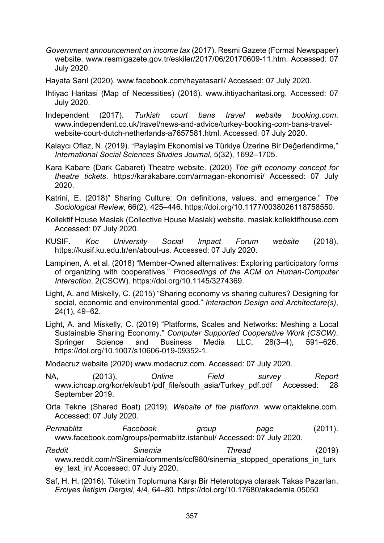- *Government announcement on income tax* (2017). Resmi Gazete (Formal Newspaper) website. [www.resmigazete.gov.tr/eskiler/2017/06/20170609-11.htm.](http://www.resmigazete.gov.tr/eskiler/2017/06/20170609-11.htm) Accessed: 07 July 2020.
- Hayata Sarıl (2020). www.facebook.com/hayatasaril/ Accessed: 07 July 2020.
- Ihtiyac Haritasi (Map of Necessities) (2016). [www.ihtiyacharitasi.org.](https://www.ihtiyacharitasi.org/) Accessed: 07 July 2020.
- Independent (2017). *Turkish court bans travel website booking.com*. [www.independent.co.uk/travel/news-and-advice/turkey-](https://www.independent.co.uk/travel/news-and-advice/turkey-booking-com-bans-travel-website-court-dutch-netherlands-a7657581.html)booking-com-bans-travelwebsite[-court-dutch-netherlands-a7657581.html.](https://www.independent.co.uk/travel/news-and-advice/turkey-booking-com-bans-travel-website-court-dutch-netherlands-a7657581.html) Accessed: 07 July 2020.
- Kalaycı Oflaz, N. (2019). "Paylaşim Ekonomisi ve Türkiye Üzerine Bir Değerlendirme," *International Social Sciences Studies Journal*, 5(32), 1692–1705.
- Kara Kabare (Dark Cabaret) Theatre website. (2020) *The gift economy concept for theatre tickets*. [https://karakabare.com/armagan](https://karakabare.com/armagan-ekonomisi/)-ekonomisi/ Accessed: 07 July 2020.
- Katrini, E. (2018)" Sharing Culture: On definitions, values, and emergence." *The Sociological Review*, 66(2), 425–446. https://doi.org/10.1177/0038026118758550.
- Kollektif House Maslak (Collective House Maslak) website. maslak.kollektifhouse.com Accessed: 07 July 2020.
- KUSIF. *Koc University Social Impact Forum website* (2018). [https://kusif.ku.edu.tr/en/about](https://kusif.ku.edu.tr/en/about-us)-us. Accessed: 07 July 2020.
- Lampinen, A. et al. (2018) "Member-Owned alternatives: Exploring participatory forms of organizing with cooperatives." *Proceedings of the ACM on Human-Computer Interaction*, 2(CSCW). https://doi.org/10.1145/3274369.
- Light, A. and Miskelly, C. (2015) "Sharing economy vs sharing cultures? Designing for social, economic and environmental good." *Interaction Design and Architecture(s)*, 24(1), 49–62.
- Light, A. and Miskelly, C. (2019) "Platforms, Scales and Networks: Meshing a Local Sustainable Sharing Economy." *Computer Supported Cooperative Work (CSCW)*. Springer Science and Business Media LLC, 28(3–4), 591–626. https://doi.org/10.1007/s10606-019-09352-1.
- Modacruz website (2020) [www.modacruz.com.](https://www.modacruz.com/) Accessed: 07 July 2020.
- NA, (2013), *Online Field survey Repor[t](https://www.ichcap.org/kor/ek/sub1/pdf_file/south_asia/Turkey_pdf.pdf)* [www.ichcap.org/kor/ek/sub1/pdf\\_file/south\\_asia/Turkey\\_pdf.pdf](https://www.ichcap.org/kor/ek/sub1/pdf_file/south_asia/Turkey_pdf.pdf) Accessed: 28 September 2019.
- Orta Tekne (Shared Boat) (2019). *Website of the platform*. [www.ortaktekne.com.](http://www.ortaktekne.com/) Accessed: 07 July 2020.
- *Permablitz Facebook group page* (2011). [www.facebook.com/groups/permablitz.istanbul/](https://www.facebook.com/groups/permablitz.istanbul/) Accessed: 07 July 2020.
- *Reddit Sinemia Thread* (2019) [www.reddit.com/r/Sinemia/comments/ccf980/sinemia\\_stopped\\_operations\\_in\\_turk](https://www.reddit.com/r/Sinemia/comments/ccf980/sinemia_stopped_operations_in_turkey_text_in/) [ey\\_text\\_in/](https://www.reddit.com/r/Sinemia/comments/ccf980/sinemia_stopped_operations_in_turkey_text_in/) Accessed: 07 July 2020.
- Saf, H. H. (2016). Tüketim Toplumuna Karşı Bir Heterotopya olaraak Takas Pazarları. *Erciyes İletişim Dergisi*, 4/4, 64–80. https[://doi.org/10.17680/akademia.05050](https://doi.org/10.17680/akademia.05050)